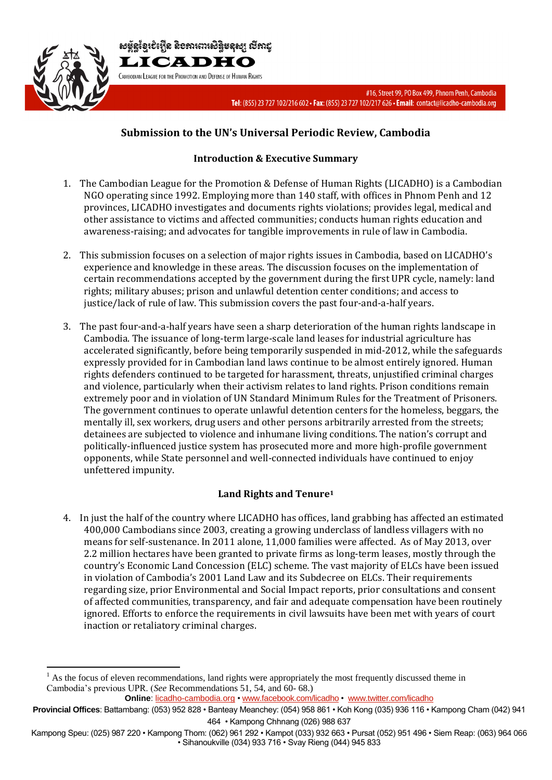

 $\overline{a}$ 

សម្ព័ន្ធខ្មែរបំរើ្មាំន និខភារពារសិន្ធិមនុស្ស លីភាដ្ LICADHO CAMBODIAN LEAGUE FOR THE PROMOTION AND DEFENSE OF HUMAN RIGHTS

> #16, Street 99, PO Box 499, Phnom Penh, Cambodia Tel: (855) 23 727 102/216 602 · Fax: (855) 23 727 102/217 626 · Email: contact@licadho-cambodia.org

# **Submission to the UN's Universal Periodic Review, Cambodia**

## **Introduction & Executive Summary**

- 1. The Cambodian League for the Promotion & Defense of Human Rights (LICADHO) is a Cambodian NGO operating since 1992. Employing more than 140 staff, with offices in Phnom Penh and 12 provinces, LICADHO investigates and documents rights violations; provides legal, medical and other assistance to victims and affected communities; conducts human rights education and awareness-raising; and advocates for tangible improvements in rule of law in Cambodia.
- 2. This submission focuses on a selection of major rights issues in Cambodia, based on LICADHO's experience and knowledge in these areas. The discussion focuses on the implementation of certain recommendations accepted by the government during the first UPR cycle, namely: land rights; military abuses; prison and unlawful detention center conditions; and access to justice/lack of rule of law. This submission covers the past four-and-a-half years.
- 3. The past four-and-a-half years have seen a sharp deterioration of the human rights landscape in Cambodia. The issuance of long-term large-scale land leases for industrial agriculture has accelerated significantly, before being temporarily suspended in mid-2012, while the safeguards expressly provided for in Cambodian land laws continue to be almost entirely ignored. Human rights defenders continued to be targeted for harassment, threats, unjustified criminal charges and violence, particularly when their activism relates to land rights. Prison conditions remain extremely poor and in violation of UN Standard Minimum Rules for the Treatment of Prisoners. The government continues to operate unlawful detention centers for the homeless, beggars, the mentally ill, sex workers, drug users and other persons arbitrarily arrested from the streets; detainees are subjected to violence and inhumane living conditions. The nation's corrupt and politically-influenced justice system has prosecuted more and more high-profile government opponents, while State personnel and well-connected individuals have continued to enjoy unfettered impunity.

### **Land Rights and Tenure<sup>1</sup>**

4. In just the half of the country where LICADHO has offices, land grabbing has affected an estimated 400,000 Cambodians since 2003, creating a growing underclass of landless villagers with no means for self-sustenance. In 2011 alone, 11,000 families were affected. As of May 2013, over 2.2 million hectares have been granted to private firms as long-term leases, mostly through the country's Economic Land Concession (ELC) scheme. The vast majority of ELCs have been issued in violation of Cambodia's 2001 Land Law and its Subdecree on ELCs. Their requirements regarding size, prior Environmental and Social Impact reports, prior consultations and consent of affected communities, transparency, and fair and adequate compensation have been routinely ignored. Efforts to enforce the requirements in civil lawsuits have been met with years of court inaction or retaliatory criminal charges.

<sup>1</sup> As the focus of eleven recommendations, land rights were appropriately the most frequently discussed theme in Cambodia's previous UPR. (*See* Recommendations 51, 54, and 60- 68.)

**Online**: licadho-cambodia.org • www.facebook.com/licadho • www.twitter.com/licadho

**Provincial Offices**: Battambang: (053) 952 828 • Banteay Meanchey: (054) 958 861 • Koh Kong (035) 936 116 • Kampong Cham (042) 941 464 • Kampong Chhnang (026) 988 637

Kampong Speu: (025) 987 220 • Kampong Thom: (062) 961 292 • Kampot (033) 932 663 • Pursat (052) 951 496 • Siem Reap: (063) 964 066 • Sihanoukville (034) 933 716 • Svay Rieng (044) 945 833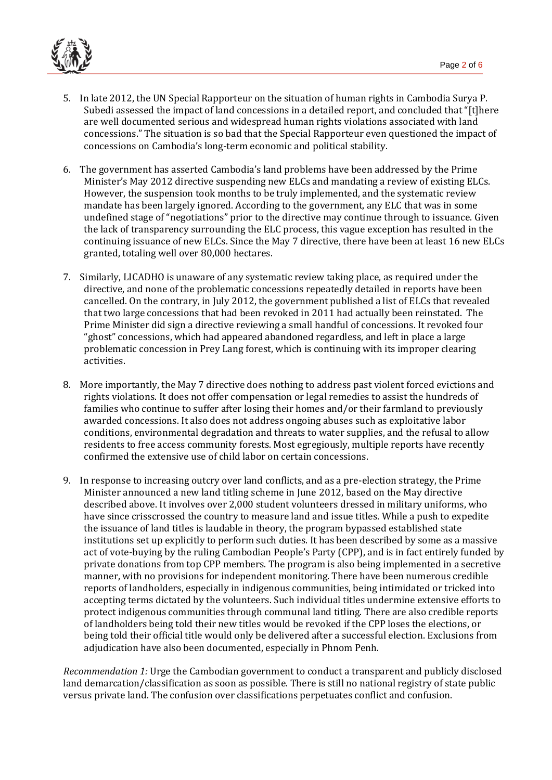

- 5. In late 2012, the UN Special Rapporteur on the situation of human rights in Cambodia Surya P. Subedi assessed the impact of land concessions in a detailed report, and concluded that "[t]here are well documented serious and widespread human rights violations associated with land concessions." The situation is so bad that the Special Rapporteur even questioned the impact of concessions on Cambodia's long-term economic and political stability.
- 6. The government has asserted Cambodia's land problems have been addressed by the Prime Minister's May 2012 directive suspending new ELCs and mandating a review of existing ELCs. However, the suspension took months to be truly implemented, and the systematic review mandate has been largely ignored. According to the government, any ELC that was in some undefined stage of "negotiations" prior to the directive may continue through to issuance. Given the lack of transparency surrounding the ELC process, this vague exception has resulted in the continuing issuance of new ELCs. Since the May 7 directive, there have been at least 16 new ELCs granted, totaling well over 80,000 hectares.
- 7. Similarly, LICADHO is unaware of any systematic review taking place, as required under the directive, and none of the problematic concessions repeatedly detailed in reports have been cancelled. On the contrary, in July 2012, the government published a list of ELCs that revealed that two large concessions that had been revoked in 2011 had actually been reinstated. The Prime Minister did sign a directive reviewing a small handful of concessions. It revoked four "ghost" concessions, which had appeared abandoned regardless, and left in place a large problematic concession in Prey Lang forest, which is continuing with its improper clearing activities.
- 8. More importantly, the May 7 directive does nothing to address past violent forced evictions and rights violations. It does not offer compensation or legal remedies to assist the hundreds of families who continue to suffer after losing their homes and/or their farmland to previously awarded concessions. It also does not address ongoing abuses such as exploitative labor conditions, environmental degradation and threats to water supplies, and the refusal to allow residents to free access community forests. Most egregiously, multiple reports have recently confirmed the extensive use of child labor on certain concessions.
- 9. In response to increasing outcry over land conflicts, and as a pre-election strategy, the Prime Minister announced a new land titling scheme in June 2012, based on the May directive described above. It involves over 2,000 student volunteers dressed in military uniforms, who have since crisscrossed the country to measure land and issue titles. While a push to expedite the issuance of land titles is laudable in theory, the program bypassed established state institutions set up explicitly to perform such duties. It has been described by some as a massive act of vote-buying by the ruling Cambodian People's Party (CPP), and is in fact entirely funded by private donations from top CPP members. The program is also being implemented in a secretive manner, with no provisions for independent monitoring. There have been numerous credible reports of landholders, especially in indigenous communities, being intimidated or tricked into accepting terms dictated by the volunteers. Such individual titles undermine extensive efforts to protect indigenous communities through communal land titling. There are also credible reports of landholders being told their new titles would be revoked if the CPP loses the elections, or being told their official title would only be delivered after a successful election. Exclusions from adjudication have also been documented, especially in Phnom Penh.

*Recommendation 1:* Urge the Cambodian government to conduct a transparent and publicly disclosed land demarcation/classification as soon as possible. There is still no national registry of state public versus private land. The confusion over classifications perpetuates conflict and confusion.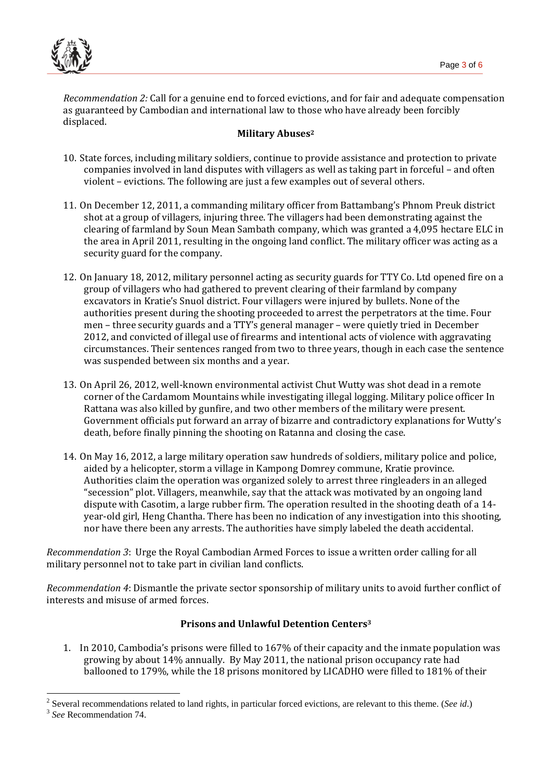

 $\overline{a}$ 

*Recommendation 2:* Call for a genuine end to forced evictions, and for fair and adequate compensation as guaranteed by Cambodian and international law to those who have already been forcibly displaced.

#### **Military Abuses<sup>2</sup>**

- 10. State forces, including military soldiers, continue to provide assistance and protection to private companies involved in land disputes with villagers as well as taking part in forceful – and often violent – evictions. The following are just a few examples out of several others.
- 11. On December 12, 2011, a commanding military officer from Battambang's Phnom Preuk district shot at a group of villagers, injuring three. The villagers had been demonstrating against the clearing of farmland by Soun Mean Sambath company, which was granted a 4,095 hectare ELC in the area in April 2011, resulting in the ongoing land conflict. The military officer was acting as a security guard for the company.
- 12. On January 18, 2012, military personnel acting as security guards for TTY Co. Ltd opened fire on a group of villagers who had gathered to prevent clearing of their farmland by company excavators in Kratie's Snuol district. Four villagers were injured by bullets. None of the authorities present during the shooting proceeded to arrest the perpetrators at the time. Four men – three security guards and a TTY's general manager – were quietly tried in December 2012, and convicted of illegal use of firearms and intentional acts of violence with aggravating circumstances. Their sentences ranged from two to three years, though in each case the sentence was suspended between six months and a year.
- 13. On April 26, 2012, well-known environmental activist Chut Wutty was shot dead in a remote corner of the Cardamom Mountains while investigating illegal logging. Military police officer In Rattana was also killed by gunfire, and two other members of the military were present. Government officials put forward an array of bizarre and contradictory explanations for Wutty's death, before finally pinning the shooting on Ratanna and closing the case.
- 14. On May 16, 2012, a large military operation saw hundreds of soldiers, military police and police, aided by a helicopter, storm a village in Kampong Domrey commune, Kratie province. Authorities claim the operation was organized solely to arrest three ringleaders in an alleged "secession" plot. Villagers, meanwhile, say that the attack was motivated by an ongoing land dispute with Casotim, a large rubber firm. The operation resulted in the shooting death of a 14 year-old girl, Heng Chantha. There has been no indication of any investigation into this shooting, nor have there been any arrests. The authorities have simply labeled the death accidental.

*Recommendation 3*: Urge the Royal Cambodian Armed Forces to issue a written order calling for all military personnel not to take part in civilian land conflicts.

*Recommendation 4*: Dismantle the private sector sponsorship of military units to avoid further conflict of interests and misuse of armed forces.

#### **Prisons and Unlawful Detention Centers<sup>3</sup>**

1. In 2010, Cambodia's prisons were filled to 167% of their capacity and the inmate population was growing by about 14% annually. By May 2011, the national prison occupancy rate had ballooned to 179%, while the 18 prisons monitored by LICADHO were filled to 181% of their

<sup>2</sup> Several recommendations related to land rights, in particular forced evictions, are relevant to this theme. (*See id*.) 3 *See* Recommendation 74.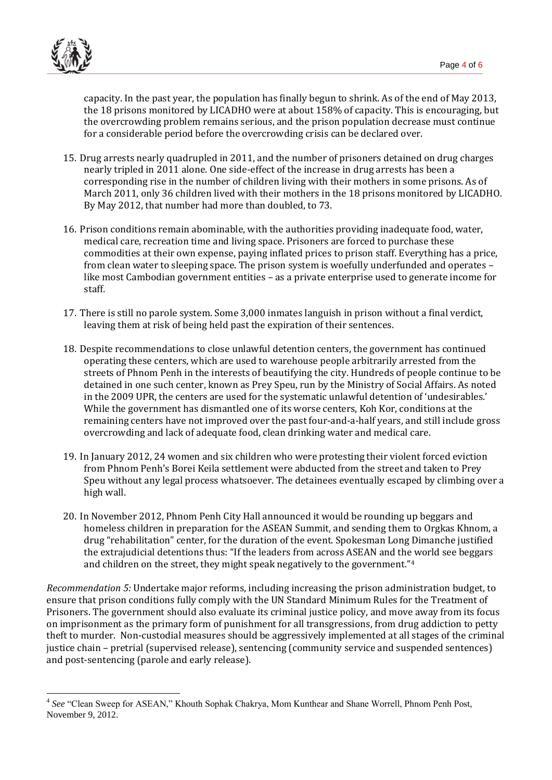

 $\overline{a}$ 

capacity. In the past year, the population has finally begun to shrink. As of the end of May 2013, the 18 prisons monitored by LICADHO were at about 158% of capacity. This is encouraging, but the overcrowding problem remains serious, and the prison population decrease must continue for a considerable period before the overcrowding crisis can be declared over.

- 15. Drug arrests nearly quadrupled in 2011, and the number of prisoners detained on drug charges nearly tripled in 2011 alone. One side-effect of the increase in drug arrests has been a corresponding rise in the number of children living with their mothers in some prisons. As of March 2011, only 36 children lived with their mothers in the 18 prisons monitored by LICADHO. By May 2012, that number had more than doubled, to 73.
- 16. Prison conditions remain abominable, with the authorities providing inadequate food, water, medical care, recreation time and living space. Prisoners are forced to purchase these commodities at their own expense, paying inflated prices to prison staff. Everything has a price, from clean water to sleeping space. The prison system is woefully underfunded and operates – like most Cambodian government entities – as a private enterprise used to generate income for staff.
- 17. There is still no parole system. Some 3,000 inmates languish in prison without a final verdict, leaving them at risk of being held past the expiration of their sentences.
- 18. Despite recommendations to close unlawful detention centers, the government has continued operating these centers, which are used to warehouse people arbitrarily arrested from the streets of Phnom Penh in the interests of beautifying the city. Hundreds of people continue to be detained in one such center, known as Prey Speu, run by the Ministry of Social Affairs. As noted in the 2009 UPR, the centers are used for the systematic unlawful detention of 'undesirables.' While the government has dismantled one of its worse centers, Koh Kor, conditions at the remaining centers have not improved over the past four-and-a-half years, and still include gross overcrowding and lack of adequate food, clean drinking water and medical care.
- 19. In January 2012, 24 women and six children who were protesting their violent forced eviction from Phnom Penh's Borei Keila settlement were abducted from the street and taken to Prey Speu without any legal process whatsoever. The detainees eventually escaped by climbing over a high wall.
- 20. In November 2012, Phnom Penh City Hall announced it would be rounding up beggars and homeless children in preparation for the ASEAN Summit, and sending them to Orgkas Khnom, a drug "rehabilitation" center, for the duration of the event. Spokesman Long Dimanche justified the extrajudicial detentions thus: "If the leaders from across ASEAN and the world see beggars and children on the street, they might speak negatively to the government."<sup>4</sup>

*Recommendation 5:* Undertake major reforms, including increasing the prison administration budget, to ensure that prison conditions fully comply with the UN Standard Minimum Rules for the Treatment of Prisoners. The government should also evaluate its criminal justice policy, and move away from its focus on imprisonment as the primary form of punishment for all transgressions, from drug addiction to petty theft to murder. Non-custodial measures should be aggressively implemented at all stages of the criminal justice chain – pretrial (supervised release), sentencing (community service and suspended sentences) and post-sentencing (parole and early release).

<sup>4</sup> *See* "Clean Sweep for ASEAN," Khouth Sophak Chakrya, Mom Kunthear and Shane Worrell, Phnom Penh Post, November 9, 2012.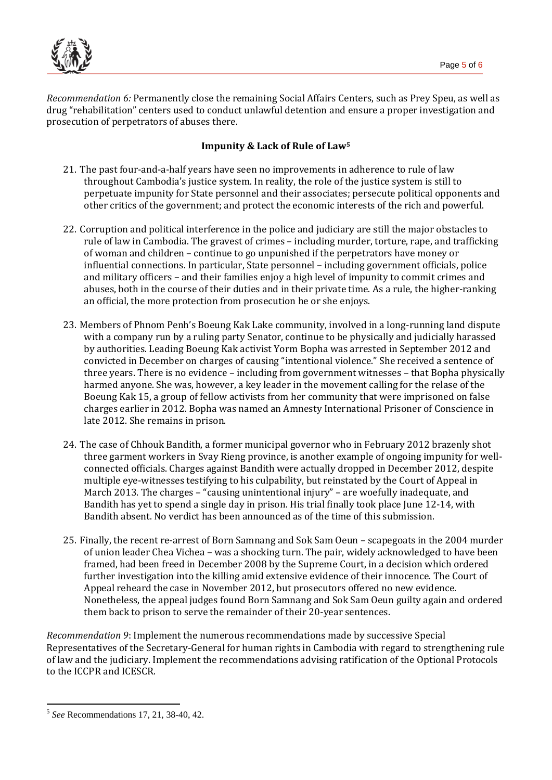

*Recommendation 6:* Permanently close the remaining Social Affairs Centers, such as Prey Speu, as well as drug "rehabilitation" centers used to conduct unlawful detention and ensure a proper investigation and prosecution of perpetrators of abuses there.

#### **Impunity & Lack of Rule of Law<sup>5</sup>**

- 21. The past four-and-a-half years have seen no improvements in adherence to rule of law throughout Cambodia's justice system. In reality, the role of the justice system is still to perpetuate impunity for State personnel and their associates; persecute political opponents and other critics of the government; and protect the economic interests of the rich and powerful.
- 22. Corruption and political interference in the police and judiciary are still the major obstacles to rule of law in Cambodia. The gravest of crimes – including murder, torture, rape, and trafficking of woman and children – continue to go unpunished if the perpetrators have money or influential connections. In particular, State personnel – including government officials, police and military officers – and their families enjoy a high level of impunity to commit crimes and abuses, both in the course of their duties and in their private time. As a rule, the higher-ranking an official, the more protection from prosecution he or she enjoys.
- 23. Members of Phnom Penh's Boeung Kak Lake community, involved in a long-running land dispute with a company run by a ruling party Senator, continue to be physically and judicially harassed by authorities. Leading Boeung Kak activist Yorm Bopha was arrested in September 2012 and convicted in December on charges of causing "intentional violence." She received a sentence of three years. There is no evidence – including from government witnesses – that Bopha physically harmed anyone. She was, however, a key leader in the movement calling for the relase of the Boeung Kak 15, a group of fellow activists from her community that were imprisoned on false charges earlier in 2012. Bopha was named an Amnesty International Prisoner of Conscience in late 2012. She remains in prison.
- 24. The case of Chhouk Bandith, a former municipal governor who in February 2012 brazenly shot three garment workers in Svay Rieng province, is another example of ongoing impunity for wellconnected officials. Charges against Bandith were actually dropped in December 2012, despite multiple eye-witnesses testifying to his culpability, but reinstated by the Court of Appeal in March 2013. The charges – "causing unintentional injury" – are woefully inadequate, and Bandith has yet to spend a single day in prison. His trial finally took place June 12-14, with Bandith absent. No verdict has been announced as of the time of this submission.
- 25. Finally, the recent re-arrest of Born Samnang and Sok Sam Oeun scapegoats in the 2004 murder of union leader Chea Vichea – was a shocking turn. The pair, widely acknowledged to have been framed, had been freed in December 2008 by the Supreme Court, in a decision which ordered further investigation into the killing amid extensive evidence of their innocence. The Court of Appeal reheard the case in November 2012, but prosecutors offered no new evidence. Nonetheless, the appeal judges found Born Samnang and Sok Sam Oeun guilty again and ordered them back to prison to serve the remainder of their 20-year sentences.

*Recommendation 9*: Implement the numerous recommendations made by successive Special Representatives of the Secretary-General for human rights in Cambodia with regard to strengthening rule of law and the judiciary. Implement the recommendations advising ratification of the Optional Protocols to the ICCPR and ICESCR.

 $\overline{a}$ 5 *See* Recommendations 17, 21, 38-40, 42.